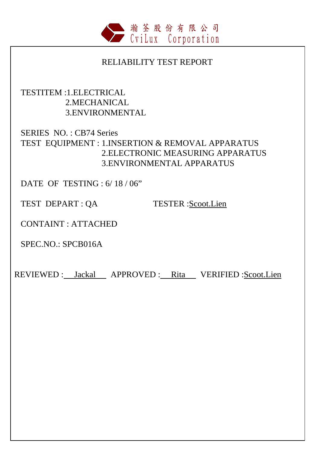

### RELIABILITY TEST REPORT

## TESTITEM :1.ELECTRICAL 2.MECHANICAL 3.ENVIRONMENTAL

# SERIES NO. : CB74 Series TEST EQUIPMENT : 1.INSERTION & REMOVAL APPARATUS 2.ELECTRONIC MEASURING APPARATUS 3.ENVIRONMENTAL APPARATUS

DATE OF TESTING : 6/ 18 / 06"

TEST DEPART : QA TESTER : Scoot.Lien

CONTAINT : ATTACHED

SPEC.NO.: SPCB016A

REVIEWED : Jackal APPROVED : Rita VERIFIED : Scoot.Lien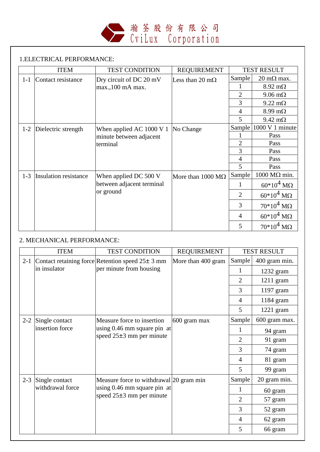

#### 1.ELECTRICAL PERFORMANCE:

|         | <b>ITEM</b>           | <b>TEST CONDITION</b>                  | <b>REQUIREMENT</b>               |                | <b>TEST RESULT</b>          |
|---------|-----------------------|----------------------------------------|----------------------------------|----------------|-----------------------------|
| $1-1$   | Contact resistance    | Dry circuit of DC 20 mV                | Less than 20 m $\Omega$          | Sample         | $20 \text{ m}\Omega$ max.   |
|         |                       | max., 100 mA max.                      |                                  |                | $8.92 \text{ m}\Omega$      |
|         |                       |                                        |                                  | $\overline{2}$ | $9.06 \text{ m}\Omega$      |
|         |                       |                                        |                                  | 3              | $9.22 \text{ m}\Omega$      |
|         |                       |                                        |                                  | $\overline{4}$ | $8.99 \text{ m}\Omega$      |
|         |                       |                                        |                                  | 5              | $9.42 \text{ m}\Omega$      |
| $1 - 2$ | Dielectric strength   | When applied AC $1000 \text{ V}$ 1     | No Change                        | Sample         | 1000 V 1 minute             |
|         |                       | minute between adjacent                |                                  |                | Pass                        |
|         |                       | terminal                               |                                  | 2              | Pass                        |
|         |                       |                                        |                                  | 3              | Pass                        |
|         |                       |                                        |                                  | $\overline{4}$ | Pass                        |
|         |                       |                                        |                                  | 5              | Pass                        |
| $1 - 3$ | Insulation resistance | When applied DC 500 V                  | More than $1000 \text{ M}\Omega$ | Sample         | $1000 \text{ M}\Omega$ min. |
|         |                       | between adjacent terminal<br>or ground |                                  | 1              | $60*10^4$ MQ                |
|         |                       |                                        |                                  | 2              | $60*10^4$ MQ                |
|         |                       |                                        |                                  | 3              | $70*10^4$ MQ                |
|         |                       |                                        |                                  | 4              | $60*10^4$ M $\Omega$        |
|         |                       |                                        |                                  | 5              | $70*10^4$ M $\Omega$        |

### 2. MECHANICAL PERFORMANCE:

|         | <b>ITEM</b>                             | <b>TEST CONDITION</b>                                                                       | <b>REQUIREMENT</b> |                | <b>TEST RESULT</b> |
|---------|-----------------------------------------|---------------------------------------------------------------------------------------------|--------------------|----------------|--------------------|
| $2 - 1$ |                                         | Contact retaining force Retention speed $25 \pm 3$ mm                                       | More than 400 gram | Sample         | 400 gram min.      |
|         | in insulator<br>per minute from housing |                                                                                             |                    |                | $1232$ gram        |
|         |                                         |                                                                                             |                    | $\overline{2}$ | $1211$ gram        |
|         |                                         |                                                                                             |                    | 3              | 1197 gram          |
|         |                                         |                                                                                             |                    | $\overline{4}$ | 1184 gram          |
|         |                                         |                                                                                             |                    | 5              | $1221$ gram        |
| $2 - 2$ | Single contact<br>insertion force       | Measure force to insertion<br>using $0.46$ mm square pin at<br>speed $25\pm3$ mm per minute | 600 gram max       | Sample         | 600 gram max.      |
|         |                                         |                                                                                             |                    | 1              | 94 gram            |
|         |                                         |                                                                                             |                    | $\overline{2}$ | 91 gram            |
|         |                                         |                                                                                             |                    | 3              | 74 gram            |
|         |                                         |                                                                                             |                    | 4              | 81 gram            |
|         |                                         |                                                                                             |                    | 5              | 99 gram            |
| $2 - 3$ | Single contact                          | Measure force to withdrawal 20 gram min                                                     |                    | Sample         | 20 gram min.       |
|         | withdrawal force                        | using 0.46 mm square pin at<br>speed $25\pm3$ mm per minute                                 |                    | 1              | 60 gram            |
|         |                                         |                                                                                             |                    | $\overline{2}$ | 57 gram            |
|         |                                         |                                                                                             |                    | 3              | 52 gram            |
|         |                                         |                                                                                             |                    | $\overline{4}$ | 62 gram            |
|         |                                         |                                                                                             |                    | 5              | 66 gram            |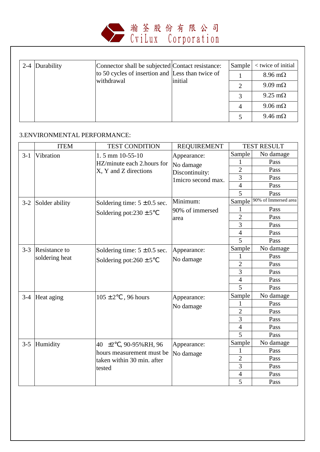

|  | 2-4 Durability | Connector shall be subjected Contact resistance:               |         | Sample | < twice of initial     |
|--|----------------|----------------------------------------------------------------|---------|--------|------------------------|
|  |                | to 50 cycles of insertion and Less than twice of<br>withdrawal | initial |        | $8.96 \text{ m}\Omega$ |
|  |                |                                                                |         |        | $9.09 \text{ m}\Omega$ |
|  |                |                                                                |         |        | $9.25 \text{ m}\Omega$ |
|  |                |                                                                |         |        | $9.06 \text{ m}\Omega$ |
|  |                |                                                                |         |        | $9.46 \text{ m}\Omega$ |

#### 3.ENVIRONMENTAL PERFORMANCE:

|         | <b>ITEM</b>          | <b>TEST CONDITION</b>            | <b>REQUIREMENT</b>  |                | <b>TEST RESULT</b>   |
|---------|----------------------|----------------------------------|---------------------|----------------|----------------------|
| $3-1$   | Vibration            | 1.5 mm 10-55-10                  | Appearance:         | Sample         | No damage            |
|         |                      | HZ/minute each 2.hours for       | No damage           | 1              | Pass                 |
|         |                      | X, Y and Z directions            | Discontinuity:      | $\overline{2}$ | Pass                 |
|         |                      |                                  | 1 micro second max. | $\overline{3}$ | Pass                 |
|         |                      |                                  |                     | $\overline{4}$ | Pass                 |
|         |                      |                                  |                     | 5              | Pass                 |
| $3 - 2$ | Solder ability       | Soldering time: $5 \pm 0.5$ sec. | Minimum:            | Sample         | 90% of Immersed area |
|         |                      |                                  | 90% of immersed     | 1              | Pass                 |
|         |                      | Soldering pot: $230 \pm 5$       | area                | $\overline{2}$ | Pass                 |
|         |                      |                                  |                     | 3              | Pass                 |
|         |                      |                                  |                     | $\overline{4}$ | Pass                 |
|         |                      |                                  |                     | 5              | Pass                 |
| $3 - 3$ | <b>Resistance to</b> | Soldering time: $5 \pm 0.5$ sec. | Appearance:         | Sample         | No damage            |
|         | soldering heat       | Soldering pot: $260 \pm 5$       | No damage           | 1              | Pass                 |
|         |                      |                                  |                     | $\overline{2}$ | Pass                 |
|         |                      |                                  |                     | $\overline{3}$ | Pass                 |
|         |                      |                                  |                     | $\overline{4}$ | Pass                 |
|         |                      |                                  |                     | 5              | Pass                 |
| $3-4$   | Heat aging           | $105 \pm 2$<br>, 96 hours        | Appearance:         | Sample         | No damage            |
|         |                      |                                  | No damage           | 1              | Pass                 |
|         |                      |                                  |                     | $\overline{2}$ | Pass                 |
|         |                      |                                  |                     | $\overline{3}$ | Pass                 |
|         |                      |                                  |                     | $\overline{4}$ | Pass                 |
|         |                      |                                  |                     | $\overline{5}$ | Pass                 |
| $3 - 5$ | Humidity             | 40 $\pm 2$ , 90-95% RH, 96       | Appearance:         | Sample         | No damage            |
|         |                      | hours measurement must be        | No damage           | $\mathbf{1}$   | Pass                 |
|         |                      | taken within 30 min. after       |                     | $\overline{2}$ | Pass                 |
|         |                      | tested                           |                     | 3              | Pass                 |
|         |                      |                                  |                     | $\overline{4}$ | Pass                 |
|         |                      |                                  |                     | 5              | Pass                 |